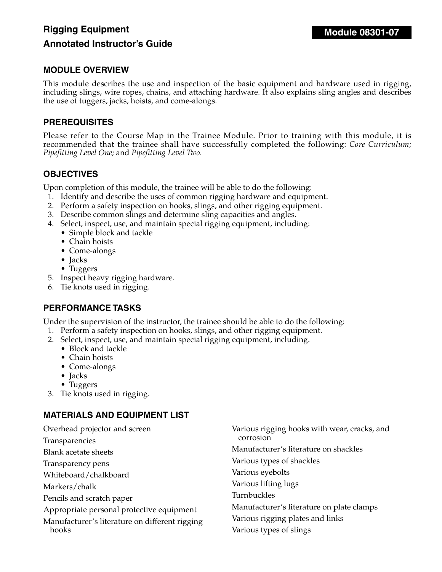# **Rigging Equipment Annotated Instructor's Guide**

## **MODULE OVERVIEW**

This module describes the use and inspection of the basic equipment and hardware used in rigging, including slings, wire ropes, chains, and attaching hardware. It also explains sling angles and describes the use of tuggers, jacks, hoists, and come-alongs.

#### **PREREQUISITES**

Please refer to the Course Map in the Trainee Module. Prior to training with this module, it is recommended that the trainee shall have successfully completed the following: Core Curriculum; *Pipefitting Level One;* and *Pipefitting Level Two.*

## **OBJECTIVES**

Upon completion of this module, the trainee will be able to do the following:

- 1. Identify and describe the uses of common rigging hardware and equipment.
- 2. Perform a safety inspection on hooks, slings, and other rigging equipment.
- 3. Describe common slings and determine sling capacities and angles.
- 4. Select, inspect, use, and maintain special rigging equipment, including:
	- Simple block and tackle
	- Chain hoists
	- Come-alongs
	- Jacks
	- Tuggers
- 5. Inspect heavy rigging hardware.
- 6. Tie knots used in rigging.

#### **PERFORMANCE TASKS**

Under the supervision of the instructor, the trainee should be able to do the following:

- 1. Perform a safety inspection on hooks, slings, and other rigging equipment.
- 2. Select, inspect, use, and maintain special rigging equipment, including.
	- Block and tackle
	- Chain hoists
	- Come-alongs
	- Jacks
	- Tuggers
- 3. Tie knots used in rigging.

# **MATERIALS AND EQUIPMENT LIST**

| Overhead projector and screen                  | Various rigging hooks with wear, cracks, and |
|------------------------------------------------|----------------------------------------------|
| Transparencies                                 | corrosion                                    |
| <b>Blank acetate sheets</b>                    | Manufacturer's literature on shackles        |
| Transparency pens                              | Various types of shackles                    |
| Whiteboard/chalkboard                          | Various eyebolts                             |
| Markers/chalk                                  | Various lifting lugs                         |
| Pencils and scratch paper                      | Turnbuckles                                  |
| Appropriate personal protective equipment      | Manufacturer's literature on plate clamps    |
| Manufacturer's literature on different rigging | Various rigging plates and links             |
| hooks                                          | Various types of slings                      |
|                                                |                                              |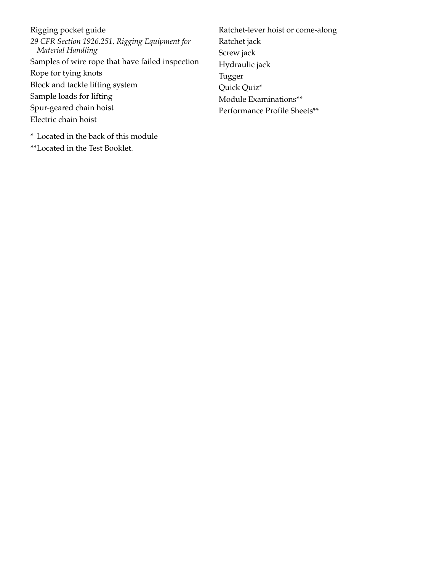Rigging pocket guide *29 CFR Section 1926.251, Rigging Equipment for Material Handling* Samples of wire rope that have failed inspection Rope for tying knots Block and tackle lifting system Sample loads for lifting Spur-geared chain hoist Electric chain hoist

Ratchet-lever hoist or come-along Ratchet jack Screw jack Hydraulic jack Tugger Quick Quiz\* Module Examinations\*\* Performance Profile Sheets\*\*

\* Located in the back of this module \*\*Located in the Test Booklet.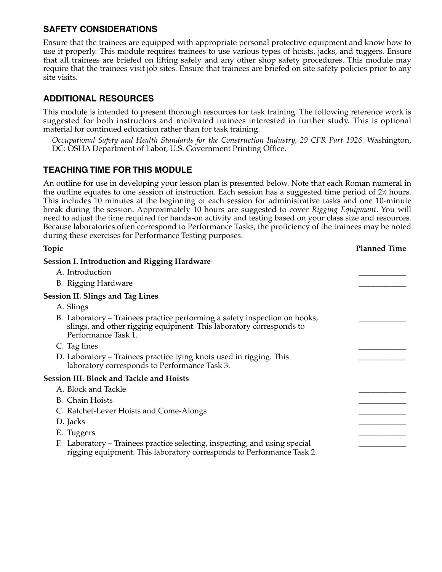Ensure that the trainees are equipped with appropriate personal protective equipment and know how to use it properly. This module requires trainees to use various types of hoists, jacks, and tuggers. Ensure that all trainees are briefed on lifting safely and any other shop safety procedures. This module may require that the trainees visit job sites. Ensure that trainees are briefed on site safety policies prior to any site visits.

# **ADDITIONAL RESOURCES**

This module is intended to present thorough resources for task training. The following reference work is suggested for both instructors and motivated trainees interested in further study. This is optional material for continued education rather than for task training.

*Occupational Safety and Health Standards for the Construction Industry, 29 CFR Part 1926*. Washington, DC: OSHA Department of Labor, U.S. Government Printing Office.

# **TEACHING TIME FOR THIS MODULE**

An outline for use in developing your lesson plan is presented below. Note that each Roman numeral in the outline equates to one session of instruction. Each session has a suggested time period of 2½ hours. This includes 10 minutes at the beginning of each session for administrative tasks and one 10-minute break during the session. Approximately 10 hours are suggested to cover *Rigging Equipment*. You will need to adjust the time required for hands-on activity and testing based on your class size and resources. Because laboratories often correspond to Performance Tasks, the proficiency of the trainees may be noted during these exercises for Performance Testing purposes.

| Topic                                                                                                                                                                    | <b>Planned Time</b> |
|--------------------------------------------------------------------------------------------------------------------------------------------------------------------------|---------------------|
| <b>Session I. Introduction and Rigging Hardware</b>                                                                                                                      |                     |
| A. Introduction                                                                                                                                                          |                     |
| B. Rigging Hardware                                                                                                                                                      |                     |
| <b>Session II. Slings and Tag Lines</b>                                                                                                                                  |                     |
| A. Slings                                                                                                                                                                |                     |
| B. Laboratory – Trainees practice performing a safety inspection on hooks,<br>slings, and other rigging equipment. This laboratory corresponds to<br>Performance Task 1. |                     |
| C. Tag lines                                                                                                                                                             |                     |
| D. Laboratory – Trainees practice tying knots used in rigging. This<br>laboratory corresponds to Performance Task 3.                                                     |                     |
| <b>Session III. Block and Tackle and Hoists</b>                                                                                                                          |                     |
| A. Block and Tackle                                                                                                                                                      |                     |
| <b>B.</b> Chain Hoists                                                                                                                                                   |                     |
| C. Ratchet-Lever Hoists and Come-Alongs                                                                                                                                  |                     |
| D. Jacks                                                                                                                                                                 |                     |
| E. Tuggers                                                                                                                                                               |                     |
| F. Laboratory – Trainees practice selecting, inspecting, and using special<br>rigging equipment. This laboratory corresponds to Performance Task 2.                      |                     |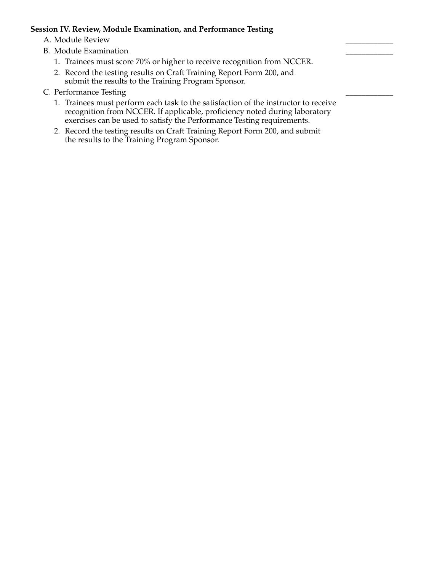#### **Session IV. Review, Module Examination, and Performance Testing**

A. Module Review

- B. Module Examination
	- 1. Trainees must score 70% or higher to receive recognition from NCCER.
	- 2. Record the testing results on Craft Training Report Form 200, and submit the results to the Training Program Sponsor.
- C. Performance Testing
	- 1. Trainees must perform each task to the satisfaction of the instructor to receive recognition from NCCER. If applicable, proficiency noted during laboratory exercises can be used to satisfy the Performance Testing requirements.
	- 2. Record the testing results on Craft Training Report Form 200, and submit the results to the Training Program Sponsor.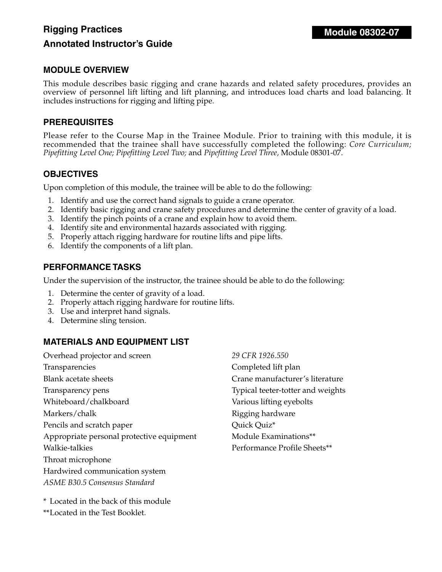# **Rigging Practices Annotated Instructor's Guide**

#### **MODULE OVERVIEW**

This module describes basic rigging and crane hazards and related safety procedures, provides an overview of personnel lift lifting and lift planning, and introduces load charts and load balancing. It includes instructions for rigging and lifting pipe.

#### **PREREQUISITES**

Please refer to the Course Map in the Trainee Module. Prior to training with this module, it is recommended that the trainee shall have successfully completed the following: *Core Curriculum; Pipefitting Level One; Pipefitting Level Two;* and *Pipefitting Level Three,* Module 08301-07.

## **OBJECTIVES**

Upon completion of this module, the trainee will be able to do the following:

- 1. Identify and use the correct hand signals to guide a crane operator.
- 2. Identify basic rigging and crane safety procedures and determine the center of gravity of a load.
- 3. Identify the pinch points of a crane and explain how to avoid them.
- 4. Identify site and environmental hazards associated with rigging.
- 5. Properly attach rigging hardware for routine lifts and pipe lifts.
- 6. Identify the components of a lift plan.

#### **PERFORMANCE TASKS**

Under the supervision of the instructor, the trainee should be able to do the following:

- 1. Determine the center of gravity of a load.
- 2. Properly attach rigging hardware for routine lifts.
- 3. Use and interpret hand signals.
- 4. Determine sling tension.

# **MATERIALS AND EQUIPMENT LIST**

Overhead projector and screen Transparencies Blank acetate sheets Transparency pens Whiteboard/chalkboard Markers/chalk Pencils and scratch paper Appropriate personal protective equipment Walkie-talkies Throat microphone Hardwired communication system *ASME B30.5 Consensus Standard* 

*29 CFR 1926.550*  Completed lift plan Crane manufacturer's literature Typical teeter-totter and weights Various lifting eyebolts Rigging hardware Quick Quiz\* Module Examinations\*\* Performance Profile Sheets\*\*

\* Located in the back of this module

\*\*Located in the Test Booklet.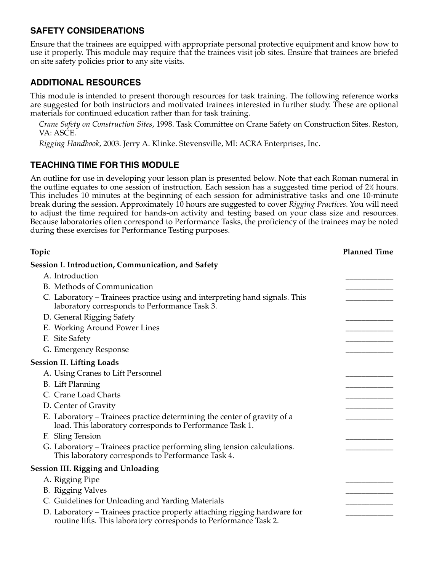Ensure that the trainees are equipped with appropriate personal protective equipment and know how to use it properly. This module may require that the trainees visit job sites. Ensure that trainees are briefed on site safety policies prior to any site visits.

# **ADDITIONAL RESOURCES**

This module is intended to present thorough resources for task training. The following reference works are suggested for both instructors and motivated trainees interested in further study. These are optional materials for continued education rather than for task training.

*Crane Safety on Construction Sites*, 1998. Task Committee on Crane Safety on Construction Sites. Reston, VA: ASCE.

*Rigging Handbook*, 2003. Jerry A. Klinke. Stevensville, MI: ACRA Enterprises, Inc.

# **TEACHING TIME FOR THIS MODULE**

An outline for use in developing your lesson plan is presented below. Note that each Roman numeral in the outline equates to one session of instruction. Each session has a suggested time period of 2½ hours. This includes 10 minutes at the beginning of each session for administrative tasks and one 10-minute break during the session. Approximately 10 hours are suggested to cover *Rigging Practices*. You will need to adjust the time required for hands-on activity and testing based on your class size and resources. Because laboratories often correspond to Performance Tasks, the proficiency of the trainees may be noted during these exercises for Performance Testing purposes.

| Topic                                                                                                                                          | <b>Planned Time</b> |
|------------------------------------------------------------------------------------------------------------------------------------------------|---------------------|
| <b>Session I. Introduction, Communication, and Safety</b>                                                                                      |                     |
| A. Introduction                                                                                                                                |                     |
| B. Methods of Communication                                                                                                                    |                     |
| C. Laboratory – Trainees practice using and interpreting hand signals. This<br>laboratory corresponds to Performance Task 3.                   |                     |
| D. General Rigging Safety                                                                                                                      |                     |
| E. Working Around Power Lines                                                                                                                  |                     |
| F. Site Safety                                                                                                                                 |                     |
| G. Emergency Response                                                                                                                          |                     |
| <b>Session II. Lifting Loads</b>                                                                                                               |                     |
| A. Using Cranes to Lift Personnel                                                                                                              |                     |
| <b>B.</b> Lift Planning                                                                                                                        |                     |
| C. Crane Load Charts                                                                                                                           |                     |
| D. Center of Gravity                                                                                                                           |                     |
| E. Laboratory – Trainees practice determining the center of gravity of a<br>load. This laboratory corresponds to Performance Task 1.           |                     |
| F. Sling Tension                                                                                                                               |                     |
| G. Laboratory – Trainees practice performing sling tension calculations.<br>This laboratory corresponds to Performance Task 4.                 |                     |
| <b>Session III. Rigging and Unloading</b>                                                                                                      |                     |
| A. Rigging Pipe                                                                                                                                |                     |
| <b>B.</b> Rigging Valves                                                                                                                       |                     |
| C. Guidelines for Unloading and Yarding Materials                                                                                              |                     |
| D. Laboratory - Trainees practice properly attaching rigging hardware for<br>routine lifts. This laboratory corresponds to Performance Task 2. |                     |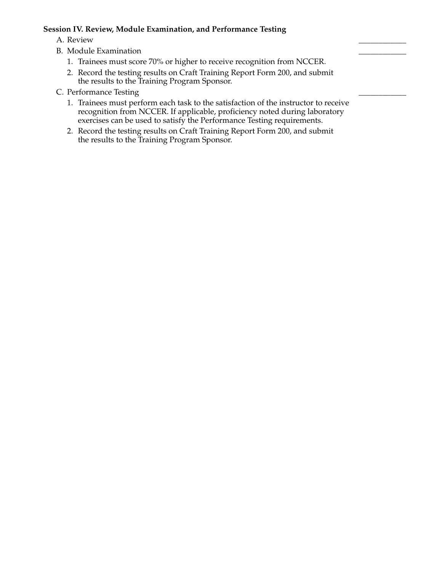#### **Session IV. Review, Module Examination, and Performance Testing**

- A. Review \_\_\_\_\_\_\_\_\_\_\_\_
- B. Module Examination
	- 1. Trainees must score 70% or higher to receive recognition from NCCER.
	- 2. Record the testing results on Craft Training Report Form 200, and submit the results to the Training Program Sponsor.
- C. Performance Testing
	- 1. Trainees must perform each task to the satisfaction of the instructor to receive recognition from NCCER. If applicable, proficiency noted during laboratory exercises can be used to satisfy the Performance Testing requirements.
	- 2. Record the testing results on Craft Training Report Form 200, and submit the results to the Training Program Sponsor.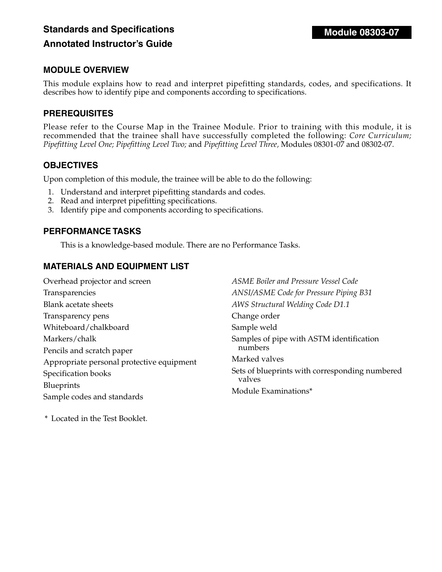# **Standards and Specifications Annotated Instructor's Guide**

### **MODULE OVERVIEW**

This module explains how to read and interpret pipefitting standards, codes, and specifications. It describes how to identify pipe and components according to specifications.

## **PREREQUISITES**

Please refer to the Course Map in the Trainee Module. Prior to training with this module, it is recommended that the trainee shall have successfully completed the following: *Core Curriculum; Pipefitting Level One; Pipefitting Level Two;* and *Pipefitting Level Three,* Modules 08301-07 and 08302-07.

#### **OBJECTIVES**

Upon completion of this module, the trainee will be able to do the following:

- 1. Understand and interpret pipefitting standards and codes.
- 2. Read and interpret pipefitting specifications.
- 3. Identify pipe and components according to specifications.

## **PERFORMANCE TASKS**

This is a knowledge-based module. There are no Performance Tasks.

# **MATERIALS AND EQUIPMENT LIST**

| Overhead projector and screen             |
|-------------------------------------------|
| Transparencies                            |
| <b>Blank acetate sheets</b>               |
| Transparency pens                         |
| Whiteboard/chalkboard                     |
| Markers/chalk                             |
| Pencils and scratch paper                 |
| Appropriate personal protective equipment |
| Specification books                       |
| Blueprints                                |
| Sample codes and standards                |

*ASME Boiler and Pressure Vessel Code ANSI/ASME Code for Pressure Piping B31 AWS Structural Welding Code D1.1* Change order Sample weld Samples of pipe with ASTM identification numbers Marked valves Sets of blueprints with corresponding numbered valves Module Examinations\*

\* Located in the Test Booklet.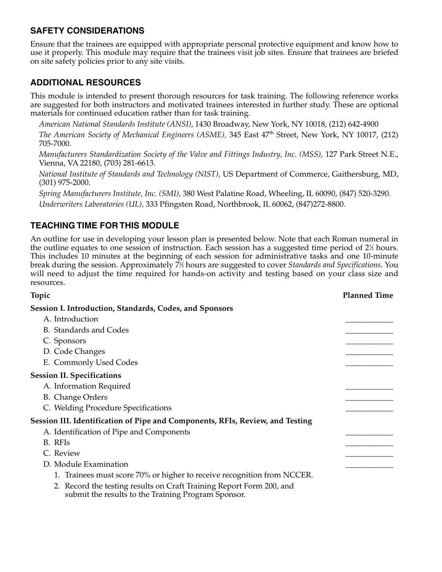Ensure that the trainees are equipped with appropriate personal protective equipment and know how to use it properly. This module may require that the trainees visit job sites. Ensure that trainees are briefed on site safety policies prior to any site visits.

# **ADDITIONAL RESOURCES**

This module is intended to present thorough resources for task training. The following reference works are suggested for both instructors and motivated trainees interested in further study. These are optional materials for continued education rather than for task training.

*American National Standards Institute (ANSI)*, 1430 Broadway, New York, NY 10018, (212) 642-4900

*The American Society of Mechanical Engineers (ASME),* 345 East 47<sup>th</sup> Street, New York, NY 10017, (212) 705-7000.

*Manufacturers Standardization Society of the Valve and Fittings Industry, Inc. (MSS),* 127 Park Street N.E., Vienna, VA 22180, (703) 281-6613.

*National Institute of Standards and Technology (NIST),* US Department of Commerce, Gaithersburg, MD, (301) 975-2000.

*Spring Manufacturers Institute, Inc. (SMI),* 380 West Palatine Road, Wheeling, IL 60090, (847) 520-3290. *Underwriters Laboratories (UL),* 333 Pfingsten Road, Northbrook, IL 60062, (847)272-8800.

# **TEACHING TIME FOR THIS MODULE**

An outline for use in developing your lesson plan is presented below. Note that each Roman numeral in the outline equates to one session of instruction. Each session has a suggested time period of 2½ hours. This includes 10 minutes at the beginning of each session for administrative tasks and one 10-minute break during the session. Approximately 71 ⁄2 hours are suggested to cover *Standards and Specifications*. You will need to adjust the time required for hands-on activity and testing based on your class size and resources.

| Topic                                                                                                                       | <b>Planned Time</b> |
|-----------------------------------------------------------------------------------------------------------------------------|---------------------|
| Session I. Introduction, Standards, Codes, and Sponsors                                                                     |                     |
| A. Introduction                                                                                                             |                     |
| <b>B.</b> Standards and Codes                                                                                               |                     |
| C. Sponsors                                                                                                                 |                     |
| D. Code Changes                                                                                                             |                     |
| E. Commonly Used Codes                                                                                                      |                     |
| <b>Session II. Specifications</b>                                                                                           |                     |
| A. Information Required                                                                                                     |                     |
| <b>B.</b> Change Orders                                                                                                     |                     |
| C. Welding Procedure Specifications                                                                                         |                     |
| Session III. Identification of Pipe and Components, RFIs, Review, and Testing                                               |                     |
| A. Identification of Pipe and Components                                                                                    |                     |
| B. RFIs                                                                                                                     |                     |
| C. Review                                                                                                                   |                     |
| D. Module Examination                                                                                                       |                     |
| 1. Trainees must score 70% or higher to receive recognition from NCCER.                                                     |                     |
| 2. Record the testing results on Craft Training Report Form 200, and<br>submit the results to the Training Program Sponsor. |                     |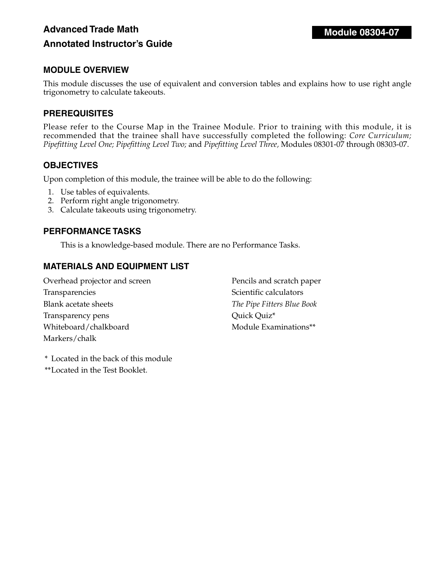# **Advanced Trade Math Annotated Instructor's Guide**

# **MODULE OVERVIEW**

This module discusses the use of equivalent and conversion tables and explains how to use right angle trigonometry to calculate takeouts.

#### **PREREQUISITES**

Please refer to the Course Map in the Trainee Module. Prior to training with this module, it is recommended that the trainee shall have successfully completed the following: *Core Curriculum*; *Pipefitting Level One; Pipefitting Level Two;* and *Pipefitting Level Three,* Modules 08301-07 through 08303-07.

#### **OBJECTIVES**

Upon completion of this module, the trainee will be able to do the following:

- 1. Use tables of equivalents.
- 2. Perform right angle trigonometry.
- 3. Calculate takeouts using trigonometry.

#### **PERFORMANCE TASKS**

This is a knowledge-based module. There are no Performance Tasks.

## **MATERIALS AND EQUIPMENT LIST**

| Overhead projector and screen | Pencils and scratch paper  |
|-------------------------------|----------------------------|
| Transparencies                | Scientific calculators     |
| Blank acetate sheets          | The Pipe Fitters Blue Book |
| Transparency pens             | Quick Quiz*                |
| Whiteboard/chalkboard         | Module Examinations**      |
| Markers/chalk                 |                            |

\* Located in the back of this module

\*\*Located in the Test Booklet.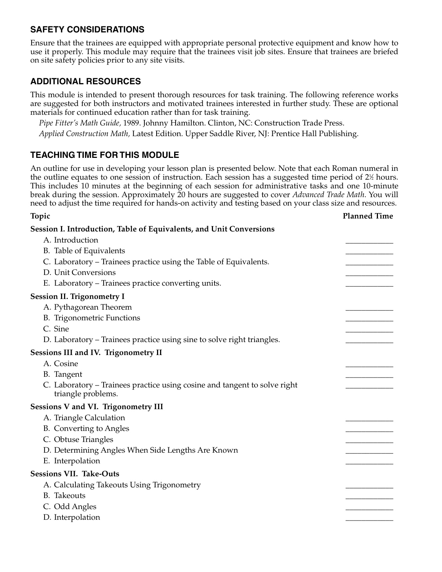Ensure that the trainees are equipped with appropriate personal protective equipment and know how to use it properly. This module may require that the trainees visit job sites. Ensure that trainees are briefed on site safety policies prior to any site visits.

# **ADDITIONAL RESOURCES**

This module is intended to present thorough resources for task training. The following reference works are suggested for both instructors and motivated trainees interested in further study. These are optional materials for continued education rather than for task training.

*Pipe Fitter's Math Guide,* 1989. Johnny Hamilton. Clinton, NC: Construction Trade Press.

*Applied Construction Math,* Latest Edition. Upper Saddle River, NJ: Prentice Hall Publishing.

# **TEACHING TIME FOR THIS MODULE**

An outline for use in developing your lesson plan is presented below. Note that each Roman numeral in the outline equates to one session of instruction. Each session has a suggested time period of 2½ hours. This includes 10 minutes at the beginning of each session for administrative tasks and one 10-minute break during the session. Approximately 20 hours are suggested to cover *Advanced Trade Math*. You will need to adjust the time required for hands-on activity and testing based on your class size and resources.

**Topic Planned Time**

| Session I. Introduction, Table of Equivalents, and Unit Conversions                             |  |
|-------------------------------------------------------------------------------------------------|--|
| A. Introduction                                                                                 |  |
| B. Table of Equivalents                                                                         |  |
| C. Laboratory - Trainees practice using the Table of Equivalents.                               |  |
| D. Unit Conversions                                                                             |  |
| E. Laboratory - Trainees practice converting units.                                             |  |
| <b>Session II. Trigonometry I</b>                                                               |  |
| A. Pythagorean Theorem                                                                          |  |
| <b>B.</b> Trigonometric Functions                                                               |  |
| C. Sine                                                                                         |  |
| D. Laboratory - Trainees practice using sine to solve right triangles.                          |  |
| Sessions III and IV. Trigonometry II                                                            |  |
| A. Cosine                                                                                       |  |
| <b>B.</b> Tangent                                                                               |  |
| C. Laboratory – Trainees practice using cosine and tangent to solve right<br>triangle problems. |  |
| Sessions V and VI. Trigonometry III                                                             |  |
| A. Triangle Calculation                                                                         |  |
| B. Converting to Angles                                                                         |  |
| C. Obtuse Triangles                                                                             |  |
| D. Determining Angles When Side Lengths Are Known                                               |  |
| E. Interpolation                                                                                |  |
| <b>Sessions VII. Take-Outs</b>                                                                  |  |
| A. Calculating Takeouts Using Trigonometry                                                      |  |
| <b>B.</b> Takeouts                                                                              |  |
| C. Odd Angles                                                                                   |  |
| D. Interpolation                                                                                |  |
|                                                                                                 |  |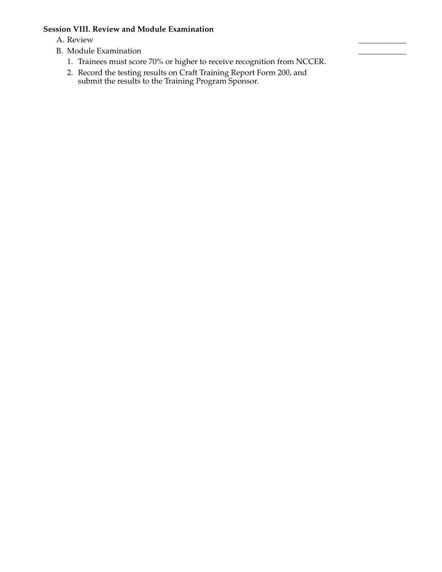#### **Session VIII. Review and Module Examination**

- A. Review \_\_\_\_\_\_\_\_\_\_\_\_
- B. Module Examination
	- 1. Trainees must score 70% or higher to receive recognition from NCCER.
	- 2. Record the testing results on Craft Training Report Form 200, and submit the results to the Training Program Sponsor.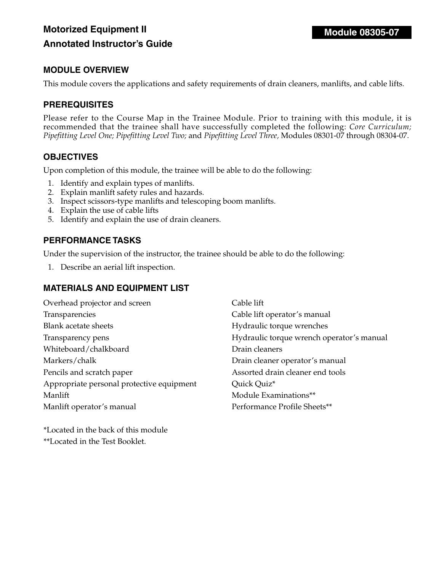# **MODULE OVERVIEW**

This module covers the applications and safety requirements of drain cleaners, manlifts, and cable lifts.

#### **PREREQUISITES**

Please refer to the Course Map in the Trainee Module. Prior to training with this module, it is recommended that the trainee shall have successfully completed the following: *Core Curriculum*; *Pipefitting Level One; Pipefitting Level Two;* and *Pipefitting Level Three,* Modules 08301-07 through 08304-07.

#### **OBJECTIVES**

Upon completion of this module, the trainee will be able to do the following:

- 1. Identify and explain types of manlifts.
- 2. Explain manlift safety rules and hazards.
- 3. Inspect scissors-type manlifts and telescoping boom manlifts.
- 4. Explain the use of cable lifts
- 5. Identify and explain the use of drain cleaners.

#### **PERFORMANCE TASKS**

Under the supervision of the instructor, the trainee should be able to do the following:

1. Describe an aerial lift inspection.

#### **MATERIALS AND EQUIPMENT LIST**

| Overhead projector and screen             |
|-------------------------------------------|
| Transparencies                            |
| <b>Blank acetate sheets</b>               |
| Transparency pens                         |
| Whiteboard/chalkboard                     |
| Markers/chalk                             |
| Pencils and scratch paper                 |
| Appropriate personal protective equipment |
| Manlift                                   |
| Manlift operator's manual                 |

Cable lift Cable lift operator's manual Hydraulic torque wrenches Hydraulic torque wrench operator's manual Drain cleaners Drain cleaner operator's manual Assorted drain cleaner end tools Quick Quiz\* Module Examinations\*\* Performance Profile Sheets\*\*

\*Located in the back of this module \*\*Located in the Test Booklet.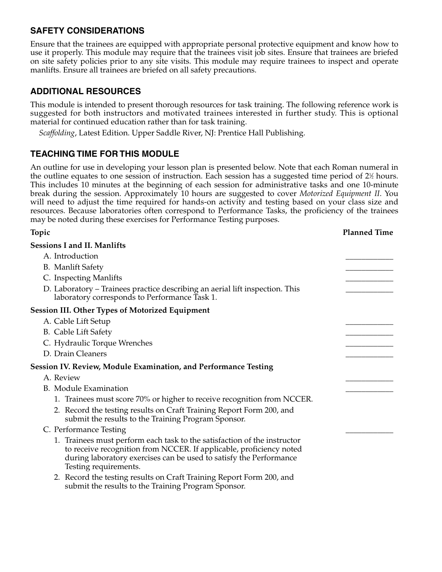Ensure that the trainees are equipped with appropriate personal protective equipment and know how to use it properly. This module may require that the trainees visit job sites. Ensure that trainees are briefed on site safety policies prior to any site visits. This module may require trainees to inspect and operate manlifts. Ensure all trainees are briefed on all safety precautions.

# **ADDITIONAL RESOURCES**

This module is intended to present thorough resources for task training. The following reference work is suggested for both instructors and motivated trainees interested in further study. This is optional material for continued education rather than for task training.

*Scaffolding*, Latest Edition. Upper Saddle River, NJ: Prentice Hall Publishing.

# **TEACHING TIME FOR THIS MODULE**

An outline for use in developing your lesson plan is presented below. Note that each Roman numeral in the outline equates to one session of instruction. Each session has a suggested time period of 2½ hours. This includes 10 minutes at the beginning of each session for administrative tasks and one 10-minute break during the session. Approximately 10 hours are suggested to cover *Motorized Equipment II*. You will need to adjust the time required for hands-on activity and testing based on your class size and resources. Because laboratories often correspond to Performance Tasks, the proficiency of the trainees may be noted during these exercises for Performance Testing purposes.

**Topic Planned Time**

| <b>Sessions I and II. Manlifts</b>                                                                                                                                                                                                             |  |
|------------------------------------------------------------------------------------------------------------------------------------------------------------------------------------------------------------------------------------------------|--|
| A. Introduction                                                                                                                                                                                                                                |  |
| <b>B.</b> Manlift Safety                                                                                                                                                                                                                       |  |
| C. Inspecting Manlifts                                                                                                                                                                                                                         |  |
| D. Laboratory - Trainees practice describing an aerial lift inspection. This<br>laboratory corresponds to Performance Task 1.                                                                                                                  |  |
| Session III. Other Types of Motorized Equipment                                                                                                                                                                                                |  |
| A. Cable Lift Setup                                                                                                                                                                                                                            |  |
| <b>B.</b> Cable Lift Safety                                                                                                                                                                                                                    |  |
| C. Hydraulic Torque Wrenches                                                                                                                                                                                                                   |  |
| D. Drain Cleaners                                                                                                                                                                                                                              |  |
| <b>Session IV. Review, Module Examination, and Performance Testing</b>                                                                                                                                                                         |  |
| A. Review                                                                                                                                                                                                                                      |  |
| <b>B.</b> Module Examination                                                                                                                                                                                                                   |  |
| 1. Trainees must score 70% or higher to receive recognition from NCCER.                                                                                                                                                                        |  |
| 2. Record the testing results on Craft Training Report Form 200, and<br>submit the results to the Training Program Sponsor.                                                                                                                    |  |
| C. Performance Testing                                                                                                                                                                                                                         |  |
| 1. Trainees must perform each task to the satisfaction of the instructor<br>to receive recognition from NCCER. If applicable, proficiency noted<br>during laboratory exercises can be used to satisfy the Performance<br>Testing requirements. |  |
| 2. Record the testing results on Craft Training Report Form 200, and<br>submit the results to the Training Program Sponsor.                                                                                                                    |  |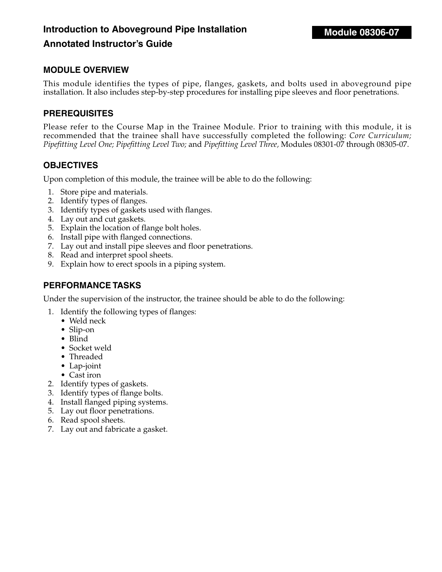# **Introduction to Aboveground Pipe Installation**

# **Annotated Instructor's Guide**

#### **MODULE OVERVIEW**

This module identifies the types of pipe, flanges, gaskets, and bolts used in aboveground pipe installation. It also includes step-by-step procedures for installing pipe sleeves and floor penetrations.

#### **PREREQUISITES**

Please refer to the Course Map in the Trainee Module. Prior to training with this module, it is recommended that the trainee shall have successfully completed the following: *Core Curriculum; Pipefitting Level One; Pipefitting Level Two;* and *Pipefitting Level Three,* Modules 08301-07 through 08305-07.

#### **OBJECTIVES**

Upon completion of this module, the trainee will be able to do the following:

- 1. Store pipe and materials.
- 2. Identify types of flanges.
- 3. Identify types of gaskets used with flanges.
- 4. Lay out and cut gaskets.
- 5. Explain the location of flange bolt holes.
- 6. Install pipe with flanged connections.
- 7. Lay out and install pipe sleeves and floor penetrations.
- 8. Read and interpret spool sheets.
- 9. Explain how to erect spools in a piping system.

## **PERFORMANCE TASKS**

Under the supervision of the instructor, the trainee should be able to do the following:

- 1. Identify the following types of flanges:
	- Weld neck
	- Slip-on
	- Blind
	- Socket weld
	- Threaded
	- Lap-joint
	- Cast iron
- 2. Identify types of gaskets.
- 3. Identify types of flange bolts.
- 4. Install flanged piping systems.
- 5. Lay out floor penetrations.
- 6. Read spool sheets.
- 7. Lay out and fabricate a gasket.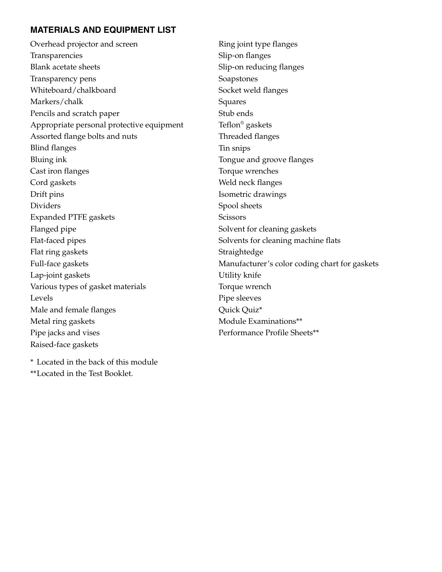# **MATERIALS AND EQUIPMENT LIST**

Overhead projector and screen Transparencies Blank acetate sheets Transparency pens Whiteboard/chalkboard Markers/chalk Pencils and scratch paper Appropriate personal protective equipment Assorted flange bolts and nuts Blind flanges Bluing ink Cast iron flanges Cord gaskets Drift pins Dividers Expanded PTFE gaskets Flanged pipe Flat-faced pipes Flat ring gaskets Full-face gaskets Lap-joint gaskets Various types of gasket materials Levels Male and female flanges Metal ring gaskets Pipe jacks and vises Raised-face gaskets

Ring joint type flanges Slip-on flanges Slip-on reducing flanges Soapstones Socket weld flanges Squares Stub ends Teflon® gaskets Threaded flanges Tin snips Tongue and groove flanges Torque wrenches Weld neck flanges Isometric drawings Spool sheets **Scissors** Solvent for cleaning gaskets Solvents for cleaning machine flats Straightedge Manufacturer's color coding chart for gaskets Utility knife Torque wrench Pipe sleeves Quick Quiz\* Module Examinations\*\* Performance Profile Sheets\*\*

\* Located in the back of this module \*\*Located in the Test Booklet.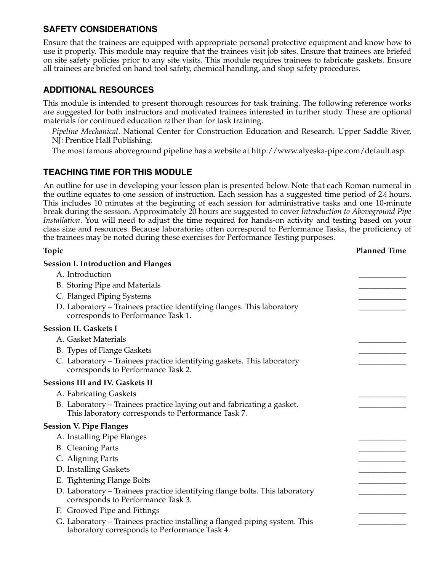Ensure that the trainees are equipped with appropriate personal protective equipment and know how to use it properly. This module may require that the trainees visit job sites. Ensure that trainees are briefed on site safety policies prior to any site visits. This module requires trainees to fabricate gaskets. Ensure all trainees are briefed on hand tool safety, chemical handling, and shop safety procedures.

# **ADDITIONAL RESOURCES**

This module is intended to present thorough resources for task training. The following reference works are suggested for both instructors and motivated trainees interested in further study. These are optional materials for continued education rather than for task training.

*Pipeline Mechanical*. National Center for Construction Education and Research. Upper Saddle River, NJ: Prentice Hall Publishing.

The most famous aboveground pipeline has a website at http://www.alyeska-pipe.com/default.asp.

# **TEACHING TIME FOR THIS MODULE**

An outline for use in developing your lesson plan is presented below. Note that each Roman numeral in the outline equates to one session of instruction. Each session has a suggested time period of 2½ hours. This includes 10 minutes at the beginning of each session for administrative tasks and one 10-minute break during the session. Approximately 20 hours are suggested to cover *Introduction to Aboveground Pipe Installation*. You will need to adjust the time required for hands-on activity and testing based on your class size and resources. Because laboratories often correspond to Performance Tasks, the proficiency of the trainees may be noted during these exercises for Performance Testing purposes.

| Topic                                                                                                                        | <b>Planned Time</b> |
|------------------------------------------------------------------------------------------------------------------------------|---------------------|
| <b>Session I. Introduction and Flanges</b>                                                                                   |                     |
| A. Introduction                                                                                                              |                     |
| B. Storing Pipe and Materials                                                                                                |                     |
| C. Flanged Piping Systems                                                                                                    |                     |
| D. Laboratory - Trainees practice identifying flanges. This laboratory<br>corresponds to Performance Task 1.                 |                     |
| <b>Session II. Gaskets I</b>                                                                                                 |                     |
| A. Gasket Materials                                                                                                          |                     |
| B. Types of Flange Gaskets                                                                                                   |                     |
| C. Laboratory - Trainees practice identifying gaskets. This laboratory<br>corresponds to Performance Task 2.                 |                     |
| <b>Sessions III and IV. Gaskets II</b>                                                                                       |                     |
| A. Fabricating Gaskets                                                                                                       |                     |
| B. Laboratory - Trainees practice laying out and fabricating a gasket.<br>This laboratory corresponds to Performance Task 7. |                     |
| <b>Session V. Pipe Flanges</b>                                                                                               |                     |
| A. Installing Pipe Flanges                                                                                                   |                     |
| <b>B.</b> Cleaning Parts                                                                                                     |                     |
| C. Aligning Parts                                                                                                            |                     |
| D. Installing Gaskets                                                                                                        |                     |
| E. Tightening Flange Bolts                                                                                                   |                     |
| D. Laboratory - Trainees practice identifying flange bolts. This laboratory<br>corresponds to Performance Task 3.            |                     |
| F. Grooved Pipe and Fittings                                                                                                 |                     |
| G. Laboratory - Trainees practice installing a flanged piping system. This<br>laboratory corresponds to Performance Task 4.  |                     |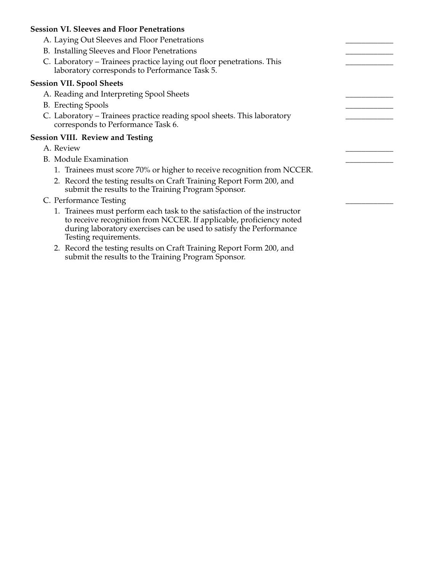#### **Session VI. Sleeves and Floor Penetrations**

- A. Laying Out Sleeves and Floor Penetrations
- B. Installing Sleeves and Floor Penetrations
- C. Laboratory Trainees practice laying out floor penetrations. This laboratory corresponds to Performance Task 5.

#### **Session VII. Spool Sheets**

- A. Reading and Interpreting Spool Sheets
- B. Erecting Spools
- C. Laboratory Trainees practice reading spool sheets. This laboratory corresponds to Performance Task 6.

#### **Session VIII. Review and Testing**

- A. Review \_\_\_\_\_\_\_\_\_\_\_\_
- B. Module Examination
	- 1. Trainees must score 70% or higher to receive recognition from NCCER.
	- 2. Record the testing results on Craft Training Report Form 200, and submit the results to the Training Program Sponsor.
- C. Performance Testing
	- 1. Trainees must perform each task to the satisfaction of the instructor to receive recognition from NCCER. If applicable, proficiency noted during laboratory exercises can be used to satisfy the Performance Testing requirements.
	- 2. Record the testing results on Craft Training Report Form 200, and submit the results to the Training Program Sponsor.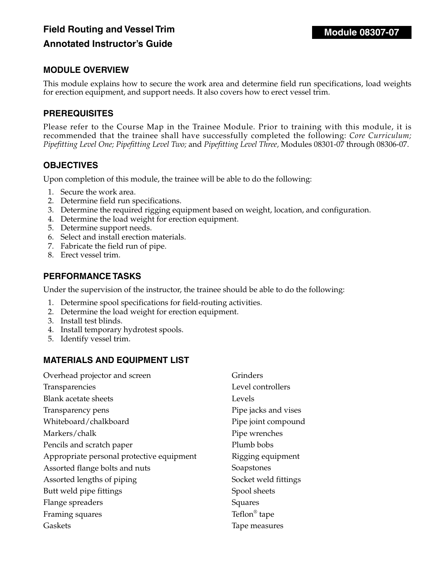# **Field Routing and Vessel Trim Annotated Instructor's Guide**

## **MODULE OVERVIEW**

This module explains how to secure the work area and determine field run specifications, load weights for erection equipment, and support needs. It also covers how to erect vessel trim.

#### **PREREQUISITES**

Please refer to the Course Map in the Trainee Module. Prior to training with this module, it is recommended that the trainee shall have successfully completed the following: *Core Curriculum; Pipefitting Level One; Pipefitting Level Two;* and *Pipefitting Level Three,* Modules 08301-07 through 08306-07.

#### **OBJECTIVES**

Upon completion of this module, the trainee will be able to do the following:

- 1. Secure the work area.
- 2. Determine field run specifications.
- 3. Determine the required rigging equipment based on weight, location, and configuration.
- 4. Determine the load weight for erection equipment.
- 5. Determine support needs.
- 6. Select and install erection materials.
- 7. Fabricate the field run of pipe.
- 8. Erect vessel trim.

#### **PERFORMANCE TASKS**

Under the supervision of the instructor, the trainee should be able to do the following:

- 1. Determine spool specifications for field-routing activities.
- 2. Determine the load weight for erection equipment.
- 3. Install test blinds.
- 4. Install temporary hydrotest spools.
- 5. Identify vessel trim.

#### **MATERIALS AND EQUIPMENT LIST**

| Overhead projector and screen             | Grinders                 |
|-------------------------------------------|--------------------------|
| Transparencies                            | Level controllers        |
| <b>Blank acetate sheets</b>               | Levels                   |
| Transparency pens                         | Pipe jacks and vises     |
| Whiteboard/chalkboard                     | Pipe joint compound      |
| Markers/chalk                             | Pipe wrenches            |
| Pencils and scratch paper                 | Plumb bobs               |
| Appropriate personal protective equipment | Rigging equipment        |
| Assorted flange bolts and nuts            | Soapstones               |
| Assorted lengths of piping                | Socket weld fittings     |
| Butt weld pipe fittings                   | Spool sheets             |
| Flange spreaders                          | Squares                  |
| Framing squares                           | Teflon <sup>®</sup> tape |
| Gaskets                                   | Tape measures            |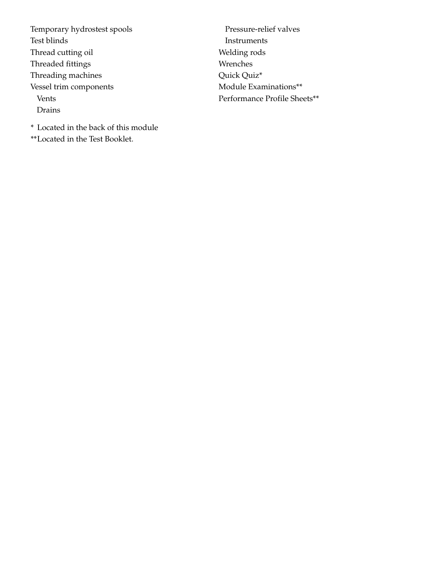Temporary hydrostest spools Test blinds Thread cutting oil Threaded fittings Threading machines Vessel trim components Vents Drains

Pressure-relief valves Instruments Welding rods Wrenches Quick Quiz\* Module Examinations\*\* Performance Profile Sheets\*\*

\* Located in the back of this module \*\*Located in the Test Booklet.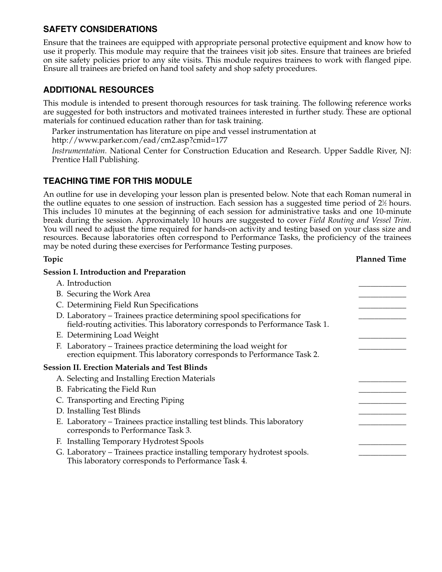Ensure that the trainees are equipped with appropriate personal protective equipment and know how to use it properly. This module may require that the trainees visit job sites. Ensure that trainees are briefed on site safety policies prior to any site visits. This module requires trainees to work with flanged pipe. Ensure all trainees are briefed on hand tool safety and shop safety procedures.

# **ADDITIONAL RESOURCES**

This module is intended to present thorough resources for task training. The following reference works are suggested for both instructors and motivated trainees interested in further study. These are optional materials for continued education rather than for task training.

Parker instrumentation has literature on pipe and vessel instrumentation at http://www.parker.com/ead/cm2.asp?cmid=177

*Instrumentation.* National Center for Construction Education and Research. Upper Saddle River, NJ: Prentice Hall Publishing.

## **TEACHING TIME FOR THIS MODULE**

An outline for use in developing your lesson plan is presented below. Note that each Roman numeral in the outline equates to one session of instruction. Each session has a suggested time period of 2½ hours. This includes 10 minutes at the beginning of each session for administrative tasks and one 10-minute break during the session. Approximately 10 hours are suggested to cover *Field Routing and Vessel Trim*. You will need to adjust the time required for hands-on activity and testing based on your class size and resources. Because laboratories often correspond to Performance Tasks, the proficiency of the trainees may be noted during these exercises for Performance Testing purposes.

| Topic                                                                                                                                                  | <b>Planned Time</b> |
|--------------------------------------------------------------------------------------------------------------------------------------------------------|---------------------|
| <b>Session I. Introduction and Preparation</b>                                                                                                         |                     |
| A. Introduction                                                                                                                                        |                     |
| B. Securing the Work Area                                                                                                                              |                     |
| C. Determining Field Run Specifications                                                                                                                |                     |
| D. Laboratory – Trainees practice determining spool specifications for<br>field-routing activities. This laboratory corresponds to Performance Task 1. |                     |
| E. Determining Load Weight                                                                                                                             |                     |
| F. Laboratory – Trainees practice determining the load weight for<br>erection equipment. This laboratory corresponds to Performance Task 2.            |                     |
| <b>Session II. Erection Materials and Test Blinds</b>                                                                                                  |                     |
| A. Selecting and Installing Erection Materials                                                                                                         |                     |
| B. Fabricating the Field Run                                                                                                                           |                     |
| C. Transporting and Erecting Piping                                                                                                                    |                     |
| D. Installing Test Blinds                                                                                                                              |                     |
| E. Laboratory – Trainees practice installing test blinds. This laboratory<br>corresponds to Performance Task 3.                                        |                     |
| F. Installing Temporary Hydrotest Spools                                                                                                               |                     |
| G. Laboratory – Trainees practice installing temporary hydrotest spools.<br>This laboratory corresponds to Performance Task 4.                         |                     |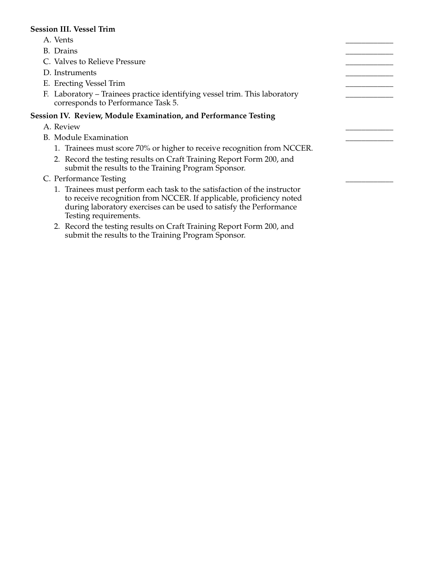#### **Session III. Vessel Trim**

- A. Vents \_\_\_\_\_\_\_\_\_\_\_\_
- B. Drains \_\_\_\_\_\_\_\_\_\_\_\_
- C. Valves to Relieve Pressure
- D. Instruments
- E. Erecting Vessel Trim
- F. Laboratory Trainees practice identifying vessel trim. This laboratory corresponds to Performance Task 5.

#### **Session IV. Review, Module Examination, and Performance Testing**

- A. Review \_\_\_\_\_\_\_\_\_\_\_\_
- B. Module Examination
	- 1. Trainees must score 70% or higher to receive recognition from NCCER.
	- 2. Record the testing results on Craft Training Report Form 200, and submit the results to the Training Program Sponsor.
- C. Performance Testing
	- 1. Trainees must perform each task to the satisfaction of the instructor to receive recognition from NCCER. If applicable, proficiency noted during laboratory exercises can be used to satisfy the Performance Testing requirements.
	- 2. Record the testing results on Craft Training Report Form 200, and submit the results to the Training Program Sponsor.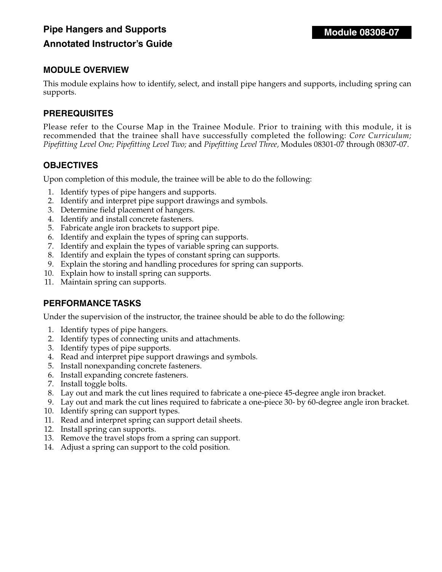# **Pipe Hangers and Supports Annotated Instructor's Guide**

# **MODULE OVERVIEW**

This module explains how to identify, select, and install pipe hangers and supports, including spring can supports.

# **PREREQUISITES**

Please refer to the Course Map in the Trainee Module. Prior to training with this module, it is recommended that the trainee shall have successfully completed the following: *Core Curriculum; Pipefitting Level One; Pipefitting Level Two;* and *Pipefitting Level Three,* Modules 08301-07 through 08307-07.

#### **OBJECTIVES**

Upon completion of this module, the trainee will be able to do the following:

- 1. Identify types of pipe hangers and supports.
- 2. Identify and interpret pipe support drawings and symbols.
- 3. Determine field placement of hangers.
- 4. Identify and install concrete fasteners.
- 5. Fabricate angle iron brackets to support pipe.
- 6. Identify and explain the types of spring can supports.
- 7. Identify and explain the types of variable spring can supports.
- 8. Identify and explain the types of constant spring can supports.
- 9. Explain the storing and handling procedures for spring can supports.
- 10. Explain how to install spring can supports.
- 11. Maintain spring can supports.

# **PERFORMANCE TASKS**

Under the supervision of the instructor, the trainee should be able to do the following:

- 1. Identify types of pipe hangers.
- 2. Identify types of connecting units and attachments.
- 3. Identify types of pipe supports.
- 4. Read and interpret pipe support drawings and symbols.
- 5. Install nonexpanding concrete fasteners.
- 6. Install expanding concrete fasteners.
- 7. Install toggle bolts.
- 8. Lay out and mark the cut lines required to fabricate a one-piece 45-degree angle iron bracket.
- 9. Lay out and mark the cut lines required to fabricate a one-piece 30- by 60-degree angle iron bracket.
- 10. Identify spring can support types.
- 11. Read and interpret spring can support detail sheets.
- 12. Install spring can supports.
- 13. Remove the travel stops from a spring can support.
- 14. Adjust a spring can support to the cold position.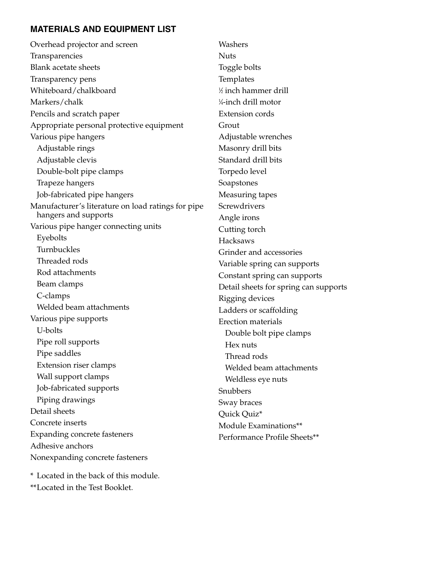### **MATERIALS AND EQUIPMENT LIST**

Overhead projector and screen Transparencies Blank acetate sheets Transparency pens Whiteboard/chalkboard Markers/chalk Pencils and scratch paper Appropriate personal protective equipment Various pipe hangers Adjustable rings Adjustable clevis Double-bolt pipe clamps Trapeze hangers Job-fabricated pipe hangers Manufacturer's literature on load ratings for pipe hangers and supports Various pipe hanger connecting units Eyebolts Turnbuckles Threaded rods Rod attachments Beam clamps C-clamps Welded beam attachments Various pipe supports U-bolts Pipe roll supports Pipe saddles Extension riser clamps Wall support clamps Job-fabricated supports Piping drawings Detail sheets Concrete inserts Expanding concrete fasteners Adhesive anchors Nonexpanding concrete fasteners

Washers **Nuts** Toggle bolts Templates 1 ⁄2 inch hammer drill 1 ⁄4-inch drill motor Extension cords Grout Adjustable wrenches Masonry drill bits Standard drill bits Torpedo level Soapstones Measuring tapes **Screwdrivers** Angle irons Cutting torch Hacksaws Grinder and accessories Variable spring can supports Constant spring can supports Detail sheets for spring can supports Rigging devices Ladders or scaffolding Erection materials Double bolt pipe clamps Hex nuts Thread rods Welded beam attachments Weldless eye nuts Snubbers Sway braces Quick Quiz\* Module Examinations\*\* Performance Profile Sheets\*\*

\* Located in the back of this module.

\*\*Located in the Test Booklet.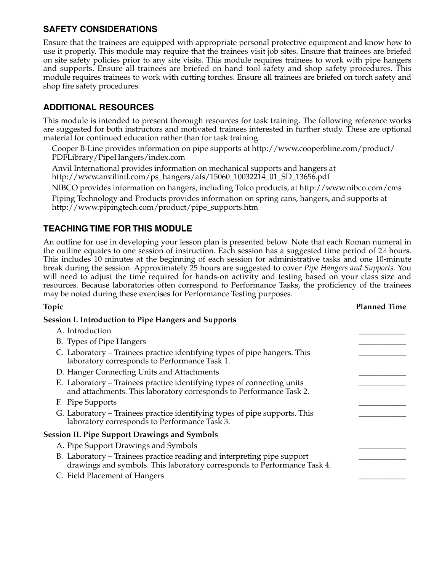Ensure that the trainees are equipped with appropriate personal protective equipment and know how to use it properly. This module may require that the trainees visit job sites. Ensure that trainees are briefed on site safety policies prior to any site visits. This module requires trainees to work with pipe hangers and supports. Ensure all trainees are briefed on hand tool safety and shop safety procedures. This module requires trainees to work with cutting torches. Ensure all trainees are briefed on torch safety and shop fire safety procedures.

# **ADDITIONAL RESOURCES**

This module is intended to present thorough resources for task training. The following reference works are suggested for both instructors and motivated trainees interested in further study. These are optional material for continued education rather than for task training.

Cooper B-Line provides information on pipe supports at http://www.cooperbline.com/product/ PDFLibrary/PipeHangers/index.com

Anvil International provides information on mechanical supports and hangers at http://www.anvilintl.com/ps\_hangers/afs/15060\_10032214\_01\_SD\_13656.pdf

NIBCO provides information on hangers, including Tolco products, at http://www.nibco.com/cms

Piping Technology and Products provides information on spring cans, hangers, and supports at http://www.pipingtech.com/product/pipe\_supports.htm

## **TEACHING TIME FOR THIS MODULE**

An outline for use in developing your lesson plan is presented below. Note that each Roman numeral in the outline equates to one session of instruction. Each session has a suggested time period of 2½ hours. This includes 10 minutes at the beginning of each session for administrative tasks and one 10-minute break during the session. Approximately 25 hours are suggested to cover *Pipe Hangers and Supports*. You will need to adjust the time required for hands-on activity and testing based on your class size and resources. Because laboratories often correspond to Performance Tasks, the proficiency of the trainees may be noted during these exercises for Performance Testing purposes.

| Topic                                                                                                                                               | <b>Planned Time</b> |
|-----------------------------------------------------------------------------------------------------------------------------------------------------|---------------------|
| <b>Session I. Introduction to Pipe Hangers and Supports</b>                                                                                         |                     |
| A. Introduction                                                                                                                                     |                     |
| B. Types of Pipe Hangers                                                                                                                            |                     |
| C. Laboratory – Trainees practice identifying types of pipe hangers. This<br>laboratory corresponds to Performance Task 1.                          |                     |
| D. Hanger Connecting Units and Attachments                                                                                                          |                     |
| E. Laboratory – Trainees practice identifying types of connecting units<br>and attachments. This laboratory corresponds to Performance Task 2.      |                     |
| F. Pipe Supports                                                                                                                                    |                     |
| G. Laboratory – Trainees practice identifying types of pipe supports. This<br>laboratory corresponds to Performance Task 3.                         |                     |
| <b>Session II. Pipe Support Drawings and Symbols</b>                                                                                                |                     |
| A. Pipe Support Drawings and Symbols                                                                                                                |                     |
| B. Laboratory – Trainees practice reading and interpreting pipe support<br>drawings and symbols. This laboratory corresponds to Performance Task 4. |                     |
| C. Field Placement of Hangers                                                                                                                       |                     |
|                                                                                                                                                     |                     |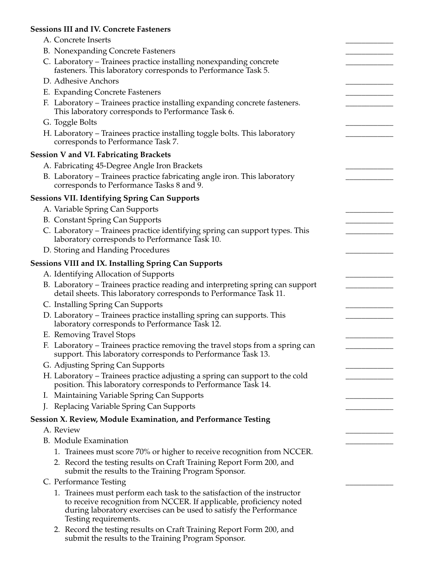#### **Sessions III and IV. Concrete Fasteners**

| A. Concrete Inserts                                                                                                                                                                                                                            |  |
|------------------------------------------------------------------------------------------------------------------------------------------------------------------------------------------------------------------------------------------------|--|
| B. Nonexpanding Concrete Fasteners                                                                                                                                                                                                             |  |
| C. Laboratory – Trainees practice installing nonexpanding concrete                                                                                                                                                                             |  |
| fasteners. This laboratory corresponds to Performance Task 5.                                                                                                                                                                                  |  |
| D. Adhesive Anchors                                                                                                                                                                                                                            |  |
| E. Expanding Concrete Fasteners                                                                                                                                                                                                                |  |
| F. Laboratory – Trainees practice installing expanding concrete fasteners.<br>This laboratory corresponds to Performance Task 6.                                                                                                               |  |
| G. Toggle Bolts                                                                                                                                                                                                                                |  |
| H. Laboratory – Trainees practice installing toggle bolts. This laboratory<br>corresponds to Performance Task 7.                                                                                                                               |  |
| <b>Session V and VI. Fabricating Brackets</b>                                                                                                                                                                                                  |  |
| A. Fabricating 45-Degree Angle Iron Brackets                                                                                                                                                                                                   |  |
| B. Laboratory – Trainees practice fabricating angle iron. This laboratory<br>corresponds to Performance Tasks 8 and 9.                                                                                                                         |  |
| <b>Sessions VII. Identifying Spring Can Supports</b>                                                                                                                                                                                           |  |
| A. Variable Spring Can Supports                                                                                                                                                                                                                |  |
| <b>B.</b> Constant Spring Can Supports                                                                                                                                                                                                         |  |
| C. Laboratory - Trainees practice identifying spring can support types. This                                                                                                                                                                   |  |
| laboratory corresponds to Performance Task 10.                                                                                                                                                                                                 |  |
| D. Storing and Handing Procedures                                                                                                                                                                                                              |  |
| <b>Sessions VIII and IX. Installing Spring Can Supports</b>                                                                                                                                                                                    |  |
| A. Identifying Allocation of Supports                                                                                                                                                                                                          |  |
| B. Laboratory – Trainees practice reading and interpreting spring can support<br>detail sheets. This laboratory corresponds to Performance Task 11.                                                                                            |  |
| C. Installing Spring Can Supports                                                                                                                                                                                                              |  |
| D. Laboratory - Trainees practice installing spring can supports. This<br>laboratory corresponds to Performance Task 12.                                                                                                                       |  |
| E. Removing Travel Stops                                                                                                                                                                                                                       |  |
| F. Laboratory – Trainees practice removing the travel stops from a spring can<br>support. This laboratory corresponds to Performance Task 13.                                                                                                  |  |
| G. Adjusting Spring Can Supports                                                                                                                                                                                                               |  |
| H. Laboratory – Trainees practice adjusting a spring can support to the cold<br>position. This laboratory corresponds to Performance Task 14.                                                                                                  |  |
| I. Maintaining Variable Spring Can Supports                                                                                                                                                                                                    |  |
| J. Replacing Variable Spring Can Supports                                                                                                                                                                                                      |  |
| Session X. Review, Module Examination, and Performance Testing                                                                                                                                                                                 |  |
| A. Review                                                                                                                                                                                                                                      |  |
| <b>B.</b> Module Examination                                                                                                                                                                                                                   |  |
| 1. Trainees must score 70% or higher to receive recognition from NCCER.                                                                                                                                                                        |  |
| 2. Record the testing results on Craft Training Report Form 200, and<br>submit the results to the Training Program Sponsor.                                                                                                                    |  |
| C. Performance Testing                                                                                                                                                                                                                         |  |
| 1. Trainees must perform each task to the satisfaction of the instructor<br>to receive recognition from NCCER. If applicable, proficiency noted<br>during laboratory exercises can be used to satisfy the Performance<br>Testing requirements. |  |
| Becaud the testing results on Craft Training Benevit Form 200 and                                                                                                                                                                              |  |

2. Record the testing results on Craft Training Report Form 200, and submit the results to the Training Program Sponsor.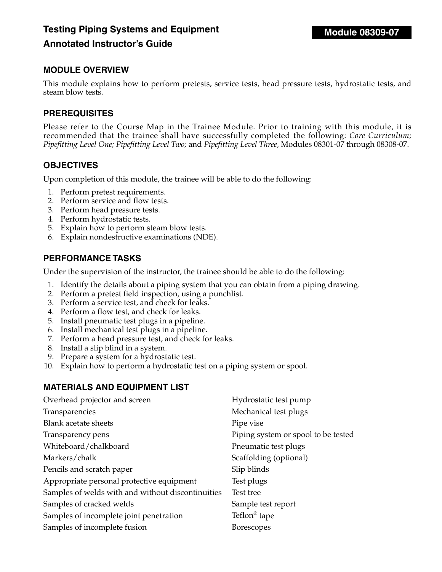# **Testing Piping Systems and Equipment Annotated Instructor's Guide**

# **MODULE OVERVIEW**

This module explains how to perform pretests, service tests, head pressure tests, hydrostatic tests, and steam blow tests.

#### **PREREQUISITES**

Please refer to the Course Map in the Trainee Module. Prior to training with this module, it is recommended that the trainee shall have successfully completed the following: *Core Curriculum; Pipefitting Level One; Pipefitting Level Two;* and *Pipefitting Level Three,* Modules 08301-07 through 08308-07.

#### **OBJECTIVES**

Upon completion of this module, the trainee will be able to do the following:

- 1. Perform pretest requirements.
- 2. Perform service and flow tests.
- 3. Perform head pressure tests.
- 4. Perform hydrostatic tests.
- 5. Explain how to perform steam blow tests.
- 6. Explain nondestructive examinations (NDE).

#### **PERFORMANCE TASKS**

Under the supervision of the instructor, the trainee should be able to do the following:

- 1. Identify the details about a piping system that you can obtain from a piping drawing.
- 2. Perform a pretest field inspection, using a punchlist.
- 3. Perform a service test, and check for leaks.
- 4. Perform a flow test, and check for leaks.
- 5. Install pneumatic test plugs in a pipeline.
- 6. Install mechanical test plugs in a pipeline.
- 7. Perform a head pressure test, and check for leaks.
- 8. Install a slip blind in a system.
- 9. Prepare a system for a hydrostatic test.
- 10. Explain how to perform a hydrostatic test on a piping system or spool.

#### **MATERIALS AND EQUIPMENT LIST**

| Mechanical test plugs               |
|-------------------------------------|
|                                     |
| Pipe vise                           |
| Piping system or spool to be tested |
| Pneumatic test plugs                |
| Scaffolding (optional)              |
| Slip blinds                         |
| Test plugs                          |
| Test tree                           |
| Sample test report                  |
| Teflon <sup>®</sup> tape            |
| <b>Borescopes</b>                   |
|                                     |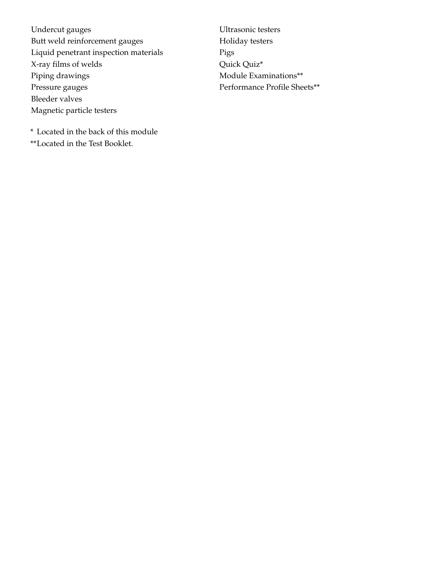Undercut gauges Butt weld reinforcement gauges Liquid penetrant inspection materials X-ray films of welds Piping drawings Pressure gauges Bleeder valves Magnetic particle testers

Ultrasonic testers Holiday testers Pigs Quick Quiz\* Module Examinations\*\* Performance Profile Sheets\*\*

\* Located in the back of this module \*\*Located in the Test Booklet.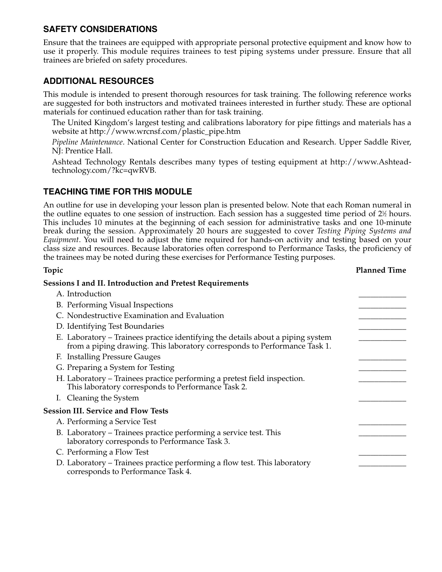Ensure that the trainees are equipped with appropriate personal protective equipment and know how to use it properly. This module requires trainees to test piping systems under pressure. Ensure that all trainees are briefed on safety procedures.

# **ADDITIONAL RESOURCES**

This module is intended to present thorough resources for task training. The following reference works are suggested for both instructors and motivated trainees interested in further study. These are optional materials for continued education rather than for task training.

The United Kingdom's largest testing and calibrations laboratory for pipe fittings and materials has a website at http://www.wrcnsf.com/plastic\_pipe.htm

*Pipeline Maintenance*. National Center for Construction Education and Research. Upper Saddle River, NJ: Prentice Hall.

Ashtead Technology Rentals describes many types of testing equipment at http://www.Ashteadtechnology.com/?kc=qwRVB.

## **TEACHING TIME FOR THIS MODULE**

An outline for use in developing your lesson plan is presented below. Note that each Roman numeral in the outline equates to one session of instruction. Each session has a suggested time period of 2½ hours. This includes 10 minutes at the beginning of each session for administrative tasks and one 10-minute break during the session. Approximately 20 hours are suggested to cover *Testing Piping Systems and Equipment*. You will need to adjust the time required for hands-on activity and testing based on your class size and resources. Because laboratories often correspond to Performance Tasks, the proficiency of the trainees may be noted during these exercises for Performance Testing purposes.

| Topic                                                                                                                                                        | <b>Planned Time</b> |
|--------------------------------------------------------------------------------------------------------------------------------------------------------------|---------------------|
| <b>Sessions I and II. Introduction and Pretest Requirements</b>                                                                                              |                     |
| A. Introduction                                                                                                                                              |                     |
| B. Performing Visual Inspections                                                                                                                             |                     |
| C. Nondestructive Examination and Evaluation                                                                                                                 |                     |
| D. Identifying Test Boundaries                                                                                                                               |                     |
| E. Laboratory – Trainees practice identifying the details about a piping system<br>from a piping drawing. This laboratory corresponds to Performance Task 1. |                     |
| F. Installing Pressure Gauges                                                                                                                                |                     |
| G. Preparing a System for Testing                                                                                                                            |                     |
| H. Laboratory – Trainees practice performing a pretest field inspection.<br>This laboratory corresponds to Performance Task 2.                               |                     |
| I. Cleaning the System                                                                                                                                       |                     |
| <b>Session III. Service and Flow Tests</b>                                                                                                                   |                     |
| A. Performing a Service Test                                                                                                                                 |                     |
| B. Laboratory – Trainees practice performing a service test. This<br>laboratory corresponds to Performance Task 3.                                           |                     |
| C. Performing a Flow Test                                                                                                                                    |                     |
| D. Laboratory – Trainees practice performing a flow test. This laboratory<br>corresponds to Performance Task 4.                                              |                     |